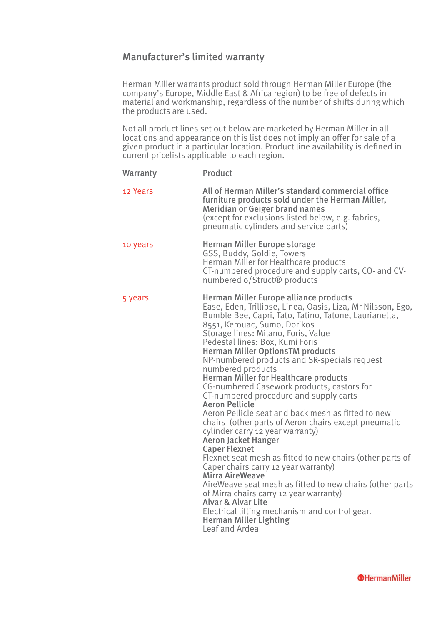## Manufacturer's limited warranty

Herman Miller warrants product sold through Herman Miller Europe (the company's Europe, Middle East & Africa region) to be free of defects in material and workmanship, regardless of the number of shifts during which the products are used.

Not all product lines set out below are marketed by Herman Miller in all locations and appearance on this list does not imply an offer for sale of a given product in a particular location. Product line availability is defined in current pricelists applicable to each region.

| <b>Warranty</b> | Product                                                                                                                                                                                                                                                                                                                                                                                                                                                                                                                                                                                                                                                                                                                                                                                                                                                                                                                                                                                                                                                                                                                                       |
|-----------------|-----------------------------------------------------------------------------------------------------------------------------------------------------------------------------------------------------------------------------------------------------------------------------------------------------------------------------------------------------------------------------------------------------------------------------------------------------------------------------------------------------------------------------------------------------------------------------------------------------------------------------------------------------------------------------------------------------------------------------------------------------------------------------------------------------------------------------------------------------------------------------------------------------------------------------------------------------------------------------------------------------------------------------------------------------------------------------------------------------------------------------------------------|
| 12 Years        | All of Herman Miller's standard commercial office<br>furniture products sold under the Herman Miller,<br><b>Meridian or Geiger brand names</b><br>(except for exclusions listed below, e.g. fabrics,<br>pneumatic cylinders and service parts)                                                                                                                                                                                                                                                                                                                                                                                                                                                                                                                                                                                                                                                                                                                                                                                                                                                                                                |
| 10 years        | Herman Miller Europe storage<br>GSS, Buddy, Goldie, Towers<br>Herman Miller for Healthcare products<br>CT-numbered procedure and supply carts, CO- and CV-<br>numbered o/Struct <sup>®</sup> products                                                                                                                                                                                                                                                                                                                                                                                                                                                                                                                                                                                                                                                                                                                                                                                                                                                                                                                                         |
| 5 years         | Herman Miller Europe alliance products<br>Ease, Eden, Trillipse, Linea, Oasis, Liza, Mr Nilsson, Ego,<br>Bumble Bee, Capri, Tato, Tatino, Tatone, Laurianetta,<br>8551, Kerouac, Sumo, Dorikos<br>Storage lines: Milano, Foris, Value<br>Pedestal lines: Box, Kumi Foris<br><b>Herman Miller OptionsTM products</b><br>NP-numbered products and SR-specials request<br>numbered products<br><b>Herman Miller for Healthcare products</b><br>CG-numbered Casework products, castors for<br>CT-numbered procedure and supply carts<br><b>Aeron Pellicle</b><br>Aeron Pellicle seat and back mesh as fitted to new<br>chairs (other parts of Aeron chairs except pneumatic<br>cylinder carry 12 year warranty)<br><b>Aeron Jacket Hanger</b><br><b>Caper Flexnet</b><br>Flexnet seat mesh as fitted to new chairs (other parts of<br>Caper chairs carry 12 year warranty)<br><b>Mirra AireWeave</b><br>AireWeave seat mesh as fitted to new chairs (other parts<br>of Mirra chairs carry 12 year warranty)<br><b>Alvar &amp; Alvar Lite</b><br>Electrical lifting mechanism and control gear.<br><b>Herman Miller Lighting</b><br>Leaf and Ardea |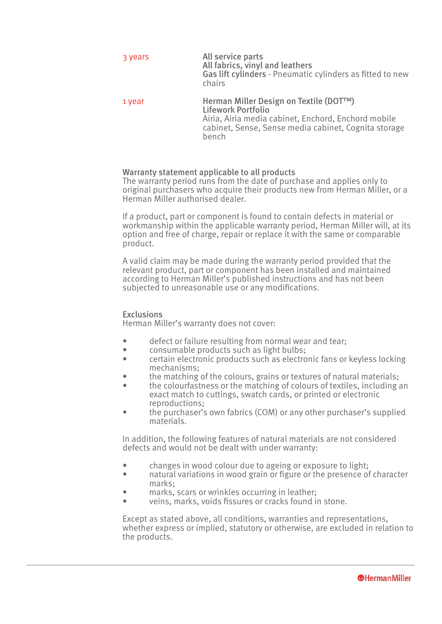| 3 years | All service parts<br>All fabrics, vinyl and leathers<br>Gas lift cylinders - Pneumatic cylinders as fitted to new<br>chairs |
|---------|-----------------------------------------------------------------------------------------------------------------------------|
| 1 year  | Herman Miller Design on Textile (DOT™)<br><b>Lifework Portfolio</b><br>Airia, Airia media cabinet, Enchord, Enchord mobile  |

cabinet, Sense, Sense media cabinet, Cognita storage

Warranty statement applicable to all products

bench

The warranty period runs from the date of purchase and applies only to original purchasers who acquire their products new from Herman Miller, or a Herman Miller authorised dealer.

If a product, part or component is found to contain defects in material or workmanship within the applicable warranty period, Herman Miller will, at its option and free of charge, repair or replace it with the same or comparable product.

A valid claim may be made during the warranty period provided that the relevant product, part or component has been installed and maintained according to Herman Miller's published instructions and has not been subjected to unreasonable use or any modifications.

## **Exclusions**

Herman Miller's warranty does not cover:

- defect or failure resulting from normal wear and tear;
- consumable products such as light bulbs;<br>extrain electronic products such as electronic
- certain electronic products such as electronic fans or keyless locking mechanisms;
- the matching of the colours, grains or textures of natural materials;
- the colourfastness or the matching of colours of textiles, including an exact match to cuttings, swatch cards, or printed or electronic reproductions;
- the purchaser's own fabrics (COM) or any other purchaser's supplied materials.

In addition, the following features of natural materials are not considered defects and would not be dealt with under warranty:

- changes in wood colour due to ageing or exposure to light;<br>• a patural variations in wood grain or figure or the presence of
- natural variations in wood grain or figure or the presence of character marks;
- marks, scars or wrinkles occurring in leather:
- veins, marks, voids fissures or cracks found in stone.

Except as stated above, all conditions, warranties and representations, whether express or implied, statutory or otherwise, are excluded in relation to the products.